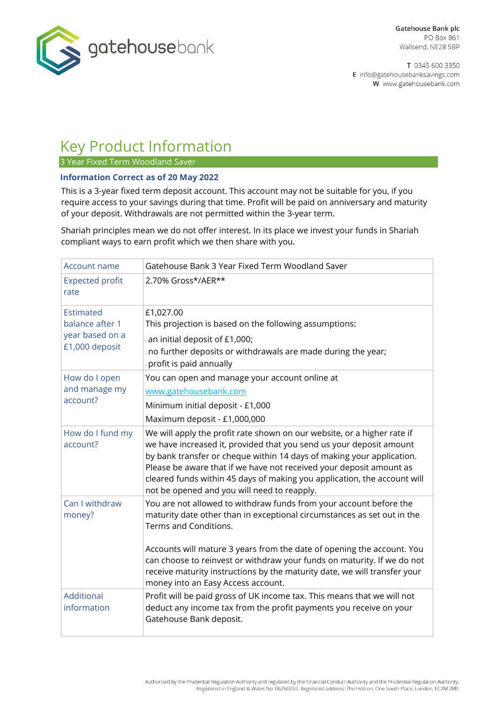

T 0345 600 3350 E info@gatehousebanksavings.com W www.gatehousebank.com

# Key Product Information

3 Year Fixed Term Woodland Saver

# **Information Correct as of 20 May 2022**

This is a 3-year fixed term deposit account. This account may not be suitable for you, if you require access to your savings during that time. Profit will be paid on anniversary and maturity of your deposit. Withdrawals are not permitted within the 3-year term.

Shariah principles mean we do not offer interest. In its place we invest your funds in Shariah compliant ways to earn profit which we then share with you.

| Account name                                                      | Gatehouse Bank 3 Year Fixed Term Woodland Saver                                                                                                                                                                                                                                                                                                                                                                                                |
|-------------------------------------------------------------------|------------------------------------------------------------------------------------------------------------------------------------------------------------------------------------------------------------------------------------------------------------------------------------------------------------------------------------------------------------------------------------------------------------------------------------------------|
| <b>Expected profit</b><br>rate                                    | 2.70% Gross*/AER**                                                                                                                                                                                                                                                                                                                                                                                                                             |
| Estimated<br>balance after 1<br>year based on a<br>£1,000 deposit | £1,027.00<br>This projection is based on the following assumptions:<br>an initial deposit of £1,000;<br>no further deposits or withdrawals are made during the year;<br>profit is paid annually                                                                                                                                                                                                                                                |
| How do I open<br>and manage my<br>account?                        | You can open and manage your account online at<br>www.gatehousebank.com<br>Minimum initial deposit - £1,000<br>Maximum deposit - £1,000,000                                                                                                                                                                                                                                                                                                    |
| How do I fund my<br>account?                                      | We will apply the profit rate shown on our website, or a higher rate if<br>we have increased it, provided that you send us your deposit amount<br>by bank transfer or cheque within 14 days of making your application.<br>Please be aware that if we have not received your deposit amount as<br>cleared funds within 45 days of making you application, the account will<br>not be opened and you will need to reapply.                      |
| Can I withdraw<br>money?                                          | You are not allowed to withdraw funds from your account before the<br>maturity date other than in exceptional circumstances as set out in the<br>Terms and Conditions.<br>Accounts will mature 3 years from the date of opening the account. You<br>can choose to reinvest or withdraw your funds on maturity. If we do not<br>receive maturity instructions by the maturity date, we will transfer your<br>money into an Easy Access account. |
| Additional<br>information                                         | Profit will be paid gross of UK income tax. This means that we will not<br>deduct any income tax from the profit payments you receive on your<br>Gatehouse Bank deposit.                                                                                                                                                                                                                                                                       |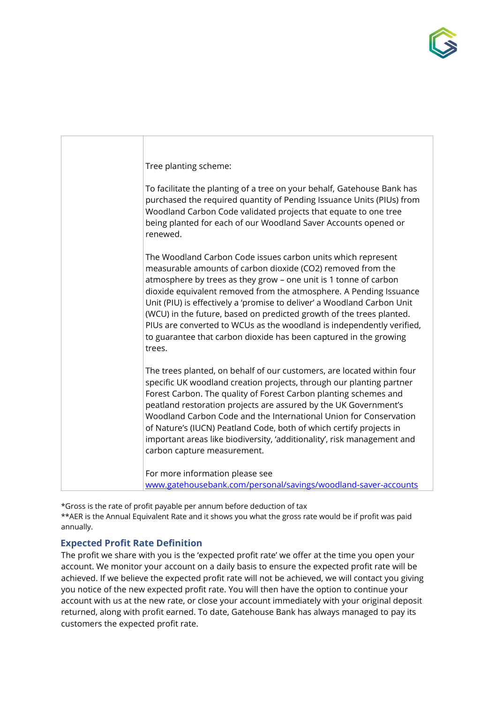



\*Gross is the rate of profit payable per annum before deduction of tax \*\*AER is the Annual Equivalent Rate and it shows you what the gross rate would be if profit was paid annually.

# **Expected Profit Rate Definition**

The profit we share with you is the 'expected profit rate' we offer at the time you open your account. We monitor your account on a daily basis to ensure the expected profit rate will be achieved. If we believe the expected profit rate will not be achieved, we will contact you giving you notice of the new expected profit rate. You will then have the option to continue your account with us at the new rate, or close your account immediately with your original deposit returned, along with profit earned. To date, Gatehouse Bank has always managed to pay its customers the expected profit rate.